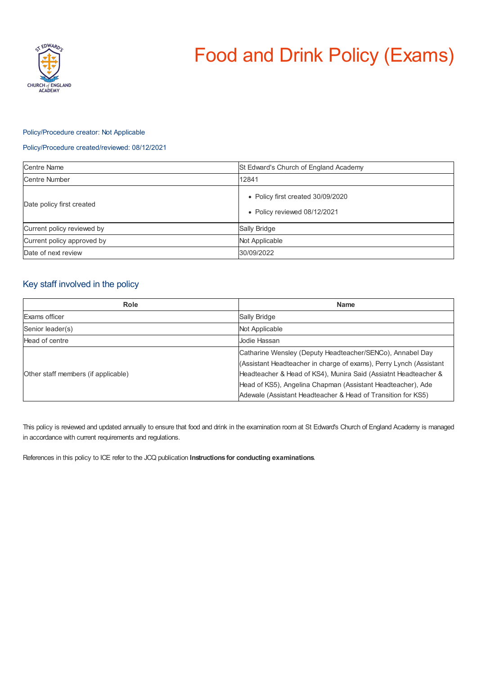

# Food and Drink Policy (Exams)

## Policy/Procedure creator: Not Applicable

### Policy/Procedure created/reviewed: 08/12/2021

| <b>Centre Name</b>         | St Edward's Church of England Academy                             |
|----------------------------|-------------------------------------------------------------------|
| <b>Centre Number</b>       | 12841                                                             |
| Date policy first created  | • Policy first created 30/09/2020<br>• Policy reviewed 08/12/2021 |
| Current policy reviewed by | Sally Bridge                                                      |
| Current policy approved by | Not Applicable                                                    |
| Date of next review        | 30/09/2022                                                        |

# Key staff involved in the policy

| Role                                | <b>Name</b>                                                                                                                                                                                                                                                                                                                       |
|-------------------------------------|-----------------------------------------------------------------------------------------------------------------------------------------------------------------------------------------------------------------------------------------------------------------------------------------------------------------------------------|
| Exams officer                       | Sally Bridge                                                                                                                                                                                                                                                                                                                      |
| Senior leader(s)                    | Not Applicable                                                                                                                                                                                                                                                                                                                    |
| Head of centre                      | Jodie Hassan                                                                                                                                                                                                                                                                                                                      |
| Other staff members (if applicable) | Catharine Wensley (Deputy Headteacher/SENCo), Annabel Day<br>(Assistant Headteacher in charge of exams), Perry Lynch (Assistant<br>Headteacher & Head of KS4), Munira Said (Assiatnt Headteacher &<br>Head of KS5), Angelina Chapman (Assistant Headteacher), Ade<br>Adewale (Assistant Headteacher & Head of Transition for KS5) |

This policy is reviewed and updated annually to ensure that food and drink in the examination room at St Edward's Church of England Academy is managed in accordance with current requirements and regulations.

References in this policy to ICE refer to the JCQ publication **Instructions for conducting examinations**.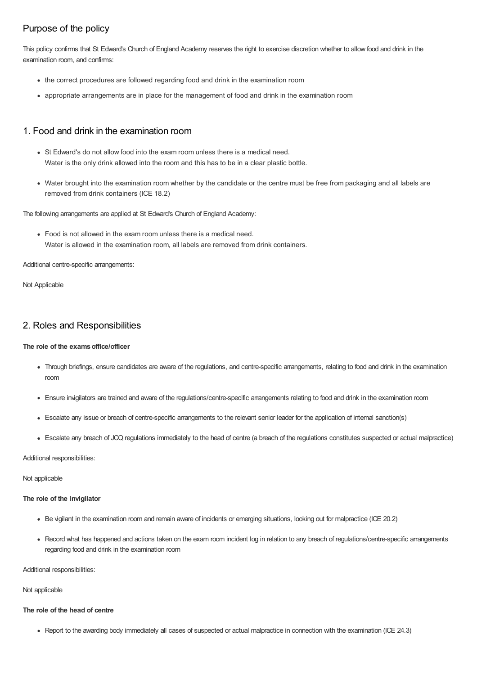# Purpose of the policy

This policy confirms that St Edward's Church of England Academy reserves the right to exercise discretion whether to allow food and drink in the examination room, and confirms:

- the correct procedures are followed regarding food and drink in the examination room
- appropriate arrangements are in place for the management of food and drink in the examination room

## 1. Food and drink in the examination room

- St Edward's do not allow food into the exam room unless there is a medical need. Water is the only drink allowed into the room and this has to be in a clear plastic bottle.
- Water brought into the examination room whether by the candidate or the centre must be free from packaging and all labels are removed from drink containers (ICE 18.2)

The following arrangements are applied at St Edward's Church of England Academy:

Food is not allowed in the exam room unless there is a medical need. Water is allowed in the examination room, all labels are removed from drink containers.

Additional centre-specific arrangements:

Not Applicable

## 2. Roles and Responsibilities

## **The role of the examsoffice/officer**

- Through briefings, ensure candidates are aware of the regulations, and centre-specific arrangements, relating to food and drink in the examination room
- Ensure invigilators are trained and aware of the regulations/centre-specific arrangements relating to food and drink in the examination room
- Escalate any issue or breach of centre-specific arrangements to the relevant senior leader for the application of internal sanction(s)
- Escalate any breach of JCQ regulations immediately to the head of centre (a breach of the regulations constitutes suspected or actual malpractice)

Additional responsibilities:

Not applicable

#### **The role of the invigilator**

- Be vigilant in the examination room and remain aware of incidents or emerging situations, looking out for malpractice (ICE 20.2)
- Record what has happened and actions taken on the exam room incident log in relation to any breach of regulations/centre-specific arrangements regarding food and drink in the examination room

Additional responsibilities:

Not applicable

## **The role of the head of centre**

Report to the awarding body immediately all cases of suspected or actual malpractice in connection with the examination (ICE 24.3)